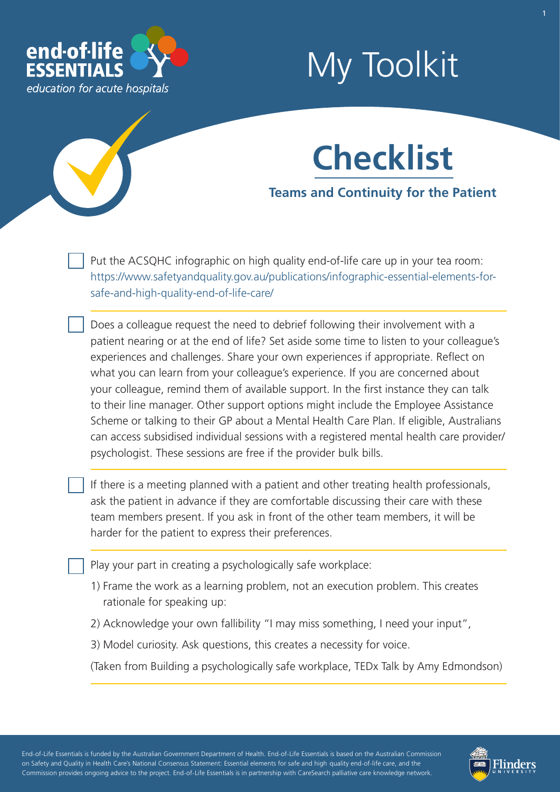

# My Toolkit

# **Checklist**

**Teams and Continuity for the Patient** 

Put the ACSQHC infographic on high quality end-of-life care up in your tea room: [https://www.safetyandquality.gov.au/publications/infographic-essential-elements-for](https://www.safetyandquality.gov.au/publications/infographic-essential-elements-for-safe-and-high-quality-end-of-life-care/)[safe-and-high-quality-end-of-life-care/](https://www.safetyandquality.gov.au/publications/infographic-essential-elements-for-safe-and-high-quality-end-of-life-care/) 

Does a colleague request the need to debrief following their involvement with a patient nearing or at the end of life? Set aside some time to listen to your colleague's experiences and challenges. Share your own experiences if appropriate. Refect on what you can learn from your colleague's experience. If you are concerned about your colleague, remind them of available support. In the first instance they can talk to their line manager. Other support options might include the Employee Assistance Scheme or talking to their GP about a Mental Health Care Plan. If eligible, Australians can access subsidised individual sessions with a registered mental health care provider/ psychologist. These sessions are free if the provider bulk bills.

If there is a meeting planned with a patient and other treating health professionals, ask the patient in advance if they are comfortable discussing their care with these team members present. If you ask in front of the other team members, it will be harder for the patient to express their preferences.

Play your part in creating a psychologically safe workplace:

- 1) Frame the work as a learning problem, not an execution problem. This creates rationale for speaking up:
- 2) Acknowledge your own fallibility "I may miss something, I need your input",
- 3) Model curiosity. Ask questions, this creates a necessity for voice.

(Taken from Building a psychologically safe workplace, TEDx Talk by Amy Edmondson)

- - - - End-of-Life Essentials is funded by the Australian Government Department of Health. End-of-Life Essentials is based on the Australian Commission ' - - - on Safety and Quality in Health Care's National Consensus Statement: Essential elements for safe and high quality end-of-life care, and the - - Commission provides ongoing advice to the project. End-of-Life Essentials is in partnership with CareSearch palliative care knowledge network.

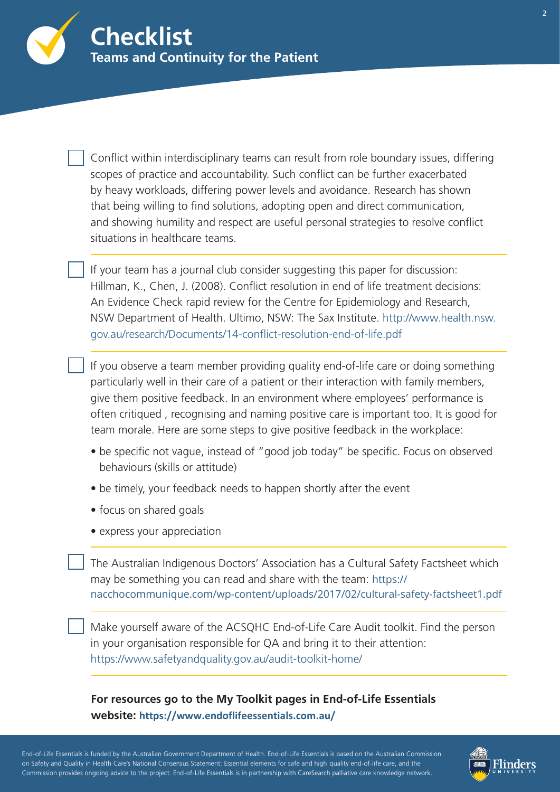

Conflict within interdisciplinary teams can result from role boundary issues, differing scopes of practice and accountability. Such confict can be further exacerbated by heavy workloads, differing power levels and avoidance. Research has shown that being willing to find solutions, adopting open and direct communication, and showing humility and respect are useful personal strategies to resolve confict situations in healthcare teams.

If your team has a journal club consider suggesting this paper for discussion: Hillman, K., Chen, J. (2008). Confict resolution in end of life treatment decisions: An Evidence Check rapid review for the Centre for Epidemiology and Research, NSW Department of Health. Ultimo, NSW: The Sax Institute. [http://www.health.nsw.](http://www.health.nsw.gov.au/research/Documents/14-conflict-resolution-end-of-life.pdf)  [gov.au/research/Documents/14-confict-resolution-end-of-life.pdf](http://www.health.nsw.gov.au/research/Documents/14-conflict-resolution-end-of-life.pdf) 

If you observe a team member providing quality end-of-life care or doing something particularly well in their care of a patient or their interaction with family members, give them positive feedback. In an environment where employees' performance is often critiqued , recognising and naming positive care is important too. It is good for team morale. Here are some steps to give positive feedback in the workplace:

- be specific not vague, instead of "good job today" be specific. Focus on observed behaviours (skills or attitude)
- be timely, your feedback needs to happen shortly after the event
- focus on shared goals
- express your appreciation

The Australian Indigenous Doctors' Association has a Cultural Safety Factsheet which may be something you can read and share with the team: https:// [nacchocommunique.com/wp-content/uploads/2017/02/cultural-safety-factsheet1.pdf](https://nacchocommunique.com/wp-content/uploads/2017/02/cultural-safety-factsheet1.pdf)

Make yourself aware of the ACSQHC End-of-Life Care Audit toolkit. Find the person in your organisation responsible for QA and bring it to their attention: <https://www.safetyandquality.gov.au/audit-toolkit-home/>

#### **For resources go to the My Toolkit pages in End-of-Life Essentials website: <https://www.endoflifeessentials.com.au/>**

- - - - End-of-Life Essentials is funded by the Australian Government Department of Health. End-of-Life Essentials is based on the Australian Commission ' - - - on Safety and Quality in Health Care's National Consensus Statement: Essential elements for safe and high quality end-of-life care, and the - - Commission provides ongoing advice to the project. End-of-Life Essentials is in partnership with CareSearch palliative care knowledge network.

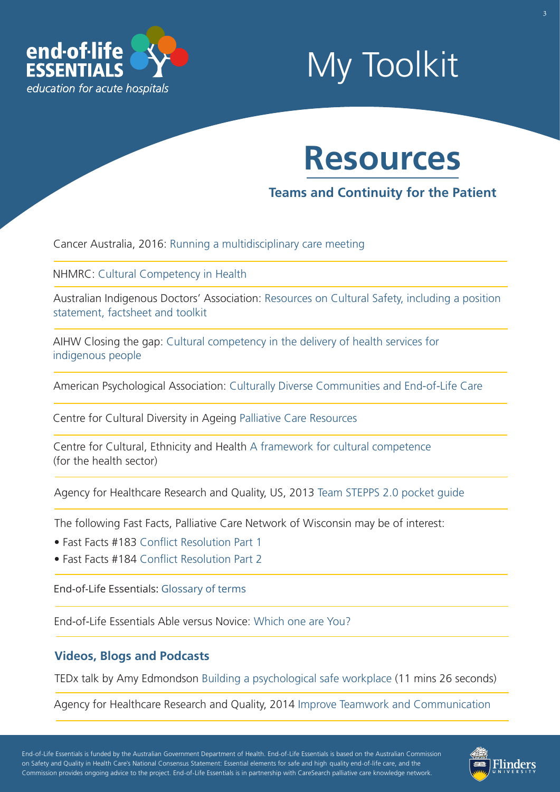

### My Toolkit

### **Resources**

**Teams and Continuity for the Patient** 

Cancer Australia, 2016: [Running a multidisciplinary care meeting](https://www.canceraustralia.gov.au/clinical-best-practice/multidisciplinary-care/all-about-multidisciplinary-care/running-multidisciplinary-care-meeting) 

NHMRC: [Cultural Competency in Health](https://www.nhmrc.gov.au/about-us/publications/cultural-competency-health)

[Australian Indigenous Doctors' Association: Resources on Cultural Safety, including a position](https://www.aida.org.au/our-work/cultural-safety/)  statement, factsheet and toolkit

AIHW Closing the gap: [Cultural competency in the delivery of health services for](https://www.aihw.gov.au/uploadedfiles/closingthegap/content/our_publications/2015/ctgc-ip13.pdf) [indigenous people](https://www.aihw.gov.au/uploadedfiles/closingthegap/content/our_publications/2015/ctgc-ip13.pdf) 

American Psychological Association: [Culturally Diverse Communities and End-of-Life Care](https://www.apa.org/pi/aging/programs/eol/end-of-life-diversity.aspx)

Centre for Cultural Diversity in Ageing [Palliative Care Resources](http://www.culturaldiversity.com.au/search?q=palliative%2BCare%2BResources) 

Centre for Cultural, Ethnicity and Health [A framework for cultural competence](http://www.ceh.org.au/wp-content/uploads/2015/12/CC1_A-framework-for-cultural-competence.pdf) (for the health sector)

Agency for Healthcare Research and Quality, US, 201[3 Team STEPPS 2.0 pocket guide](https://www.ahrq.gov/sites/default/files/publications/files/pocketguide.pdf) 

The following Fast Facts, Palliative Care Network of Wisconsin may be of interest:

- Fast Facts #183 [Confict Resolution Part 1](https://www.mypcnow.org/fast-fact/conflict-resolution-part-1-careful-communication/)
- Fast Facts #184 Conflict Resolution Part 2

End-of-Life Essentials: [Glossary of terms](https://www.endoflifeessentials.com.au/tabid/5311/Default.aspx)

End-of-Life Essentials Able versus Novice: [Which one are You?](https://www.endoflifeessentials.com.au/Portals/14/Images/Education%20Module/ABLE-VS-NOVICE.jpg)

#### **Videos, Blogs and Podcasts**

TEDx talk by Amy Edmondson [Building a psychological safe workplace](https://www.youtube.com/watch?app=desktop&v=LhoLuui9gX8) (11 mins 26 seconds)

Agency for Healthcare Research and Quality, 2014 [Improve Teamwork and Communication](https://www.ahrq.gov/hai/cusp/videos/06a-improve-team/index.html)